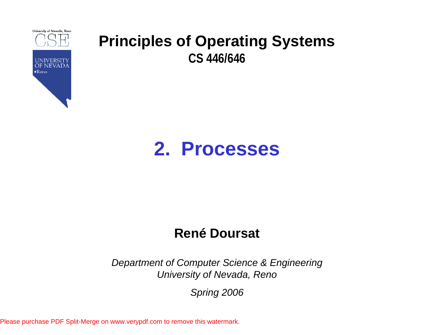

# **2. Processes**

#### **René Doursat**

*Department of Computer Science & Engineering University of Nevada, Reno*

*Spring 2006*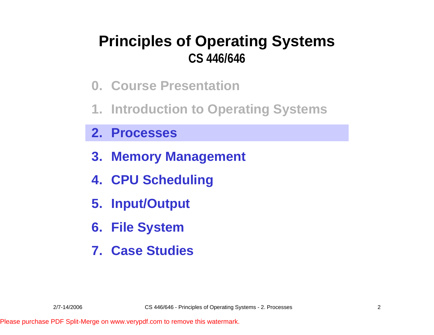- **0. Course Presentation**
- **1. Introduction to Operating Systems**
- **2. Processes**
- **3. Memory Management**
- **4. CPU Scheduling**
- **5. Input/Output**
- **6. File System**
- **7. Case Studies**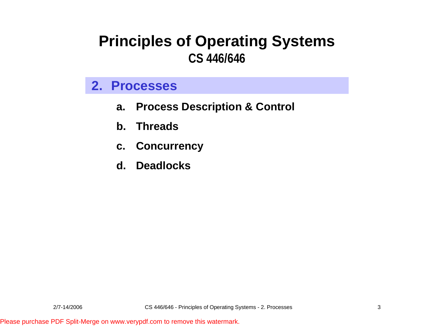#### **2. Processes**

- **a. Process Description & Control**
- **b. Threads**
- **c. Concurrency**
- **d. Deadlocks**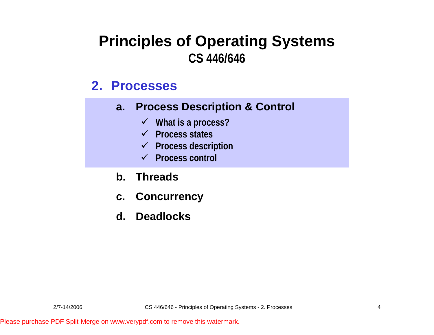#### **2. Processes**

- **a. Process Description & Control**
	- 9 **What is a process?**
	- 9 **Process states**
	- 9 **Process description**
	- 9 **Process control**
- **b. Threads**
- **c. Concurrency**
- **d. Deadlocks**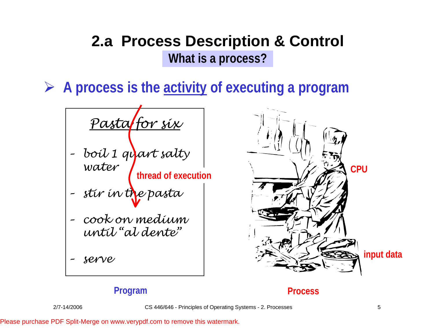**► A process is the activity of executing a program** 

*Pasta for six – boil 1 quart salty water* **thread of execution**

*– stir in the pasta*

- *– cook on medium until "al dente"*
- *– serv e*



#### **Program Process**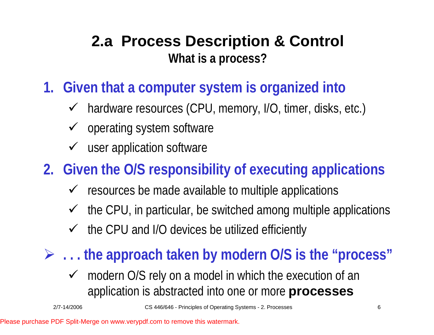- **1. Given that a computer system is organized into**
	- $\checkmark$  hardware resources (CPU, memory, I/O, timer, disks, etc.)
	- $\checkmark$  operating system software
	- $\checkmark$  user application software

# **2. Given the O/S responsibility of executing applications**

- $\checkmark$  resources be made available to multiple applications
- $\checkmark$  the CPU, in particular, be switched among multiple applications
- $\checkmark$ the CPU and I/O devices be utilized efficiently
- ¾ **. . . the approach taken by modern O/S is the "process"**
	- $\checkmark$  modern O/S rely on a model in which the execution of an application is abstracted into one or more **processes**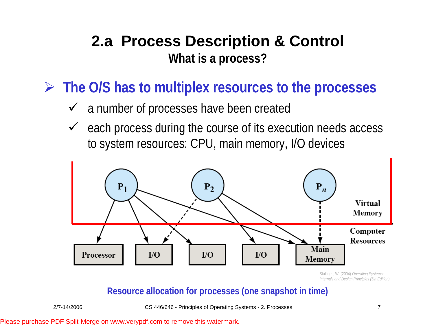¾ **The O/S has to multiplex resources to the processes**

- $\checkmark$  a number of processes have been created
- $\checkmark$  each process during the course of its execution needs access to system resources: CPU, main memory, I/O devices



Stallings, W. (2004) *Operating Systems: Internals and Design Principles (5th Edition).* 

#### **Resource allocation for processes (one snapshot in time)**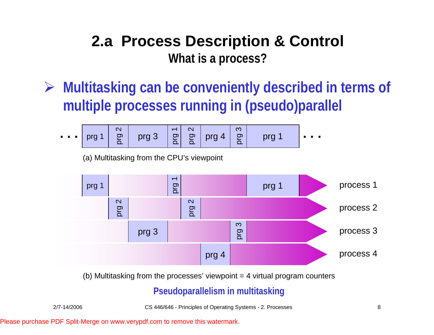¾ **Multitasking can be conveniently described in terms of multiple processes running in (pseudo)parallel**

$$
\cdots \quad \boxed{\text{prg 1} \quad \boxed{\frac{\infty}{\underline{\circ}}} \quad \text{prg 3} \quad \boxed{\frac{\sim}{\underline{\circ}}} \quad \boxed{\frac{\infty}{\underline{\circ}}} \quad \text{prg 4} \quad \boxed{\frac{\infty}{\underline{\circ}}} \quad \text{prg 1} \quad \cdots
$$

(a) Multitasking from the CPU's viewpoint



(b) Multitasking from the processes' viewpoint  $=$  4 virtual program counters

#### **Pseudoparallelism in multitasking**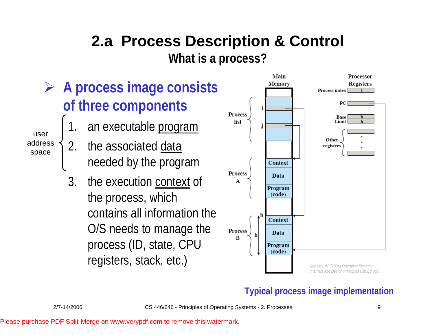- ¾ **A process image consists of three components**
	- 1.an executable program
	- 2.the associated data needed by the program
	- 3. the execution context of the process, which contains all information the O/S needs to manage the process (ID, state, CPU registers, stack, etc.)



#### **Typical process image implementation**

useraddressspace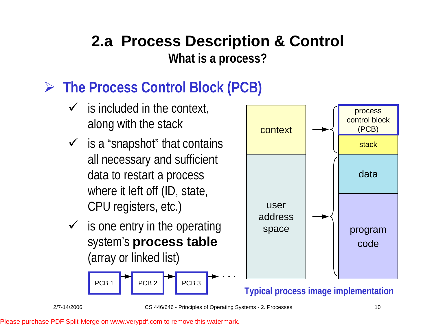# ¾ **The Process Control Block (PCB)**

- $\checkmark$  is included in the context, along with the stack
- $\checkmark$  is a "snapshot" that contains all necessary and sufficient data to restart a process where it left off (ID, state, CPU registers, etc.)
- $\checkmark$  is one entry in the operating system's **process table**  (array or linked list)





**Typical process image implementation**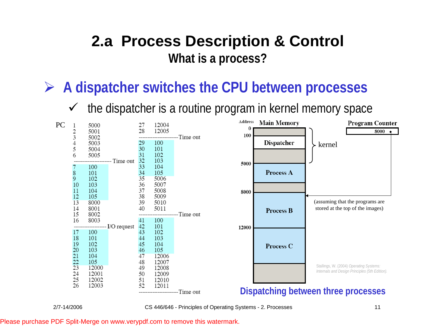### ¾ **A dispatcher switches the CPU between processes**

 $\checkmark$ the dispatcher is a routine program in kernel memory space

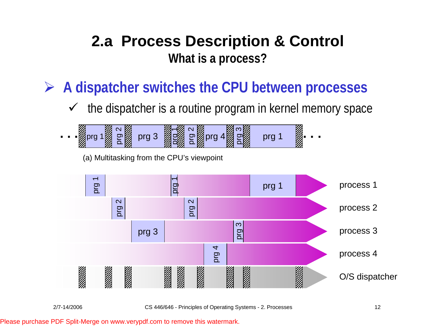¾ **A dispatcher switches the CPU between processes**

 $\checkmark$ the dispatcher is a routine program in kernel memory space



(a) Multitasking from the CPU's viewpoint

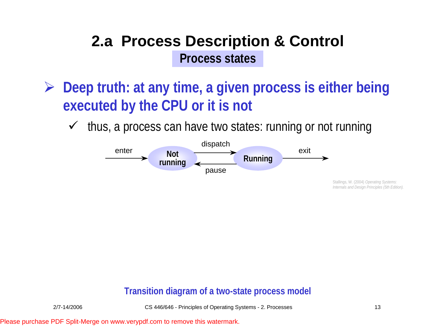- ¾ **Deep truth: at any time, a given process is either being executed by the CPU or it is not**
	- $\checkmark$ thus, a process can have two states: running or not running



Stallings, W. (2004) *Operating Systems: Internals and Design Principles (5th Edition).* 

#### **Transition diagram of a two-state process model**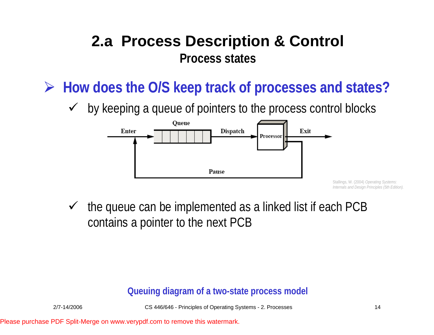- ¾ **How does the O/S keep track of processes and states?**
	- $\sqrt{ }$ by keeping a queue of pointers to the process control blocks



Stallings, W. (2004) *Operating Systems: Internals and Design Principles (5th Edition).* 

 $\sqrt{ }$  the queue can be implemented as a linked list if each PCB contains a pointer to the next PCB

#### **Queuing diagram of a two-state process model**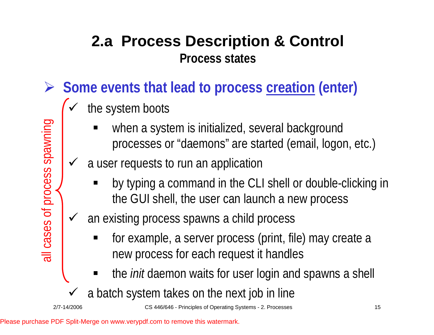- ¾ **Some events that lead to process creation (enter)**
	- $\checkmark$  the system boots
		- ٠ when a system is initialized, several background processes or "daemons" are started (email, logon, etc.)
	- $\checkmark$  a user requests to run an application
		- by typing a command in the CLI shell or double-clicking in the GUI shell, the user can launch a new process
	- $\checkmark$  an existing process spawns a child process
		- for example, a server process (print, file) may create a new process for each request it handles
		- ٠ the *init* daemon waits for user login and spawns a shell
	- $\checkmark$ a batch system takes on the next job in line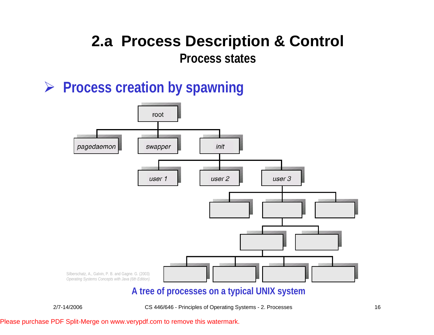#### ¾ **Process creation by spawning**



**A tree of processes on a typical UNIX system**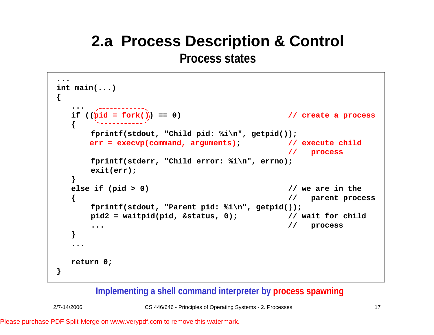# **2.a Process Description & Control**

**Process states**

```
...int main(...)
{
   ...if ((\phi id = fork()) == 0) // create a process
  {
      fprintf(stdout, "Child pid: %i\n", getpid());
      err = execvp(command, arguments); // execute child
                                            // process
      fprintf(stderr, "Child error: %i\n", errno);
      exit(err);
  }
  else if (pid > 0) // we are in the
                                            { // parent process
      fprintf(stdout, "Parent pid: %i\n", getpid());
      pid2 = waitpid(pid, &status, 0); // wait for child
      ... // process
  }
   ...return 0;
}
```
#### **Implementing a shell command interpreter by process spawning**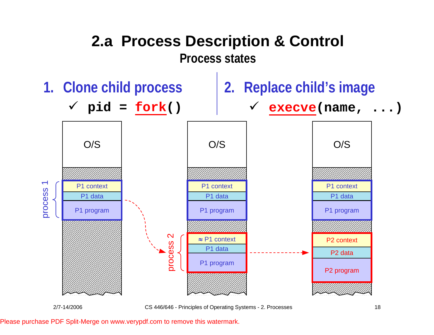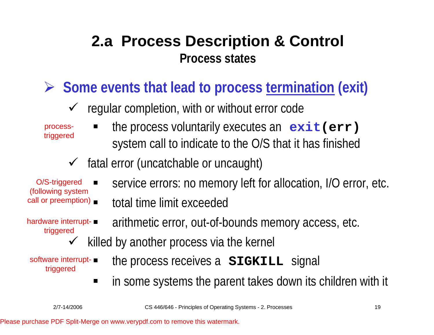¾ **Some events that lead to process termination (exit)**

 $\checkmark$  regular completion, with or without error code

processtriggered

- the process voluntarily executes an **exit(err)**  system call to indicate to the O/S that it has finished
- $\checkmark$ fatal error (uncatchable or uncaught)

call or preemption) O/S-triggered (foll owing system

- hardware interrupttriggered
- service errors: no memory left for allocation, I/O error, etc.
- total time limit exceeded
	- arithmetic error, out-of-bounds memory access, etc.
- $\checkmark$ killed by another process via the kernel

software interrupttriggered

- the process receives a **SIGKILL** signal
- $\blacksquare$ in some systems the parent takes down its children with it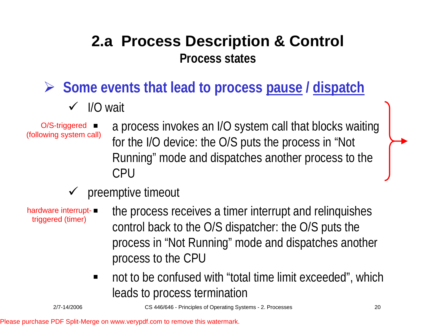¾ **Some events that lead to process pause / dispatch**

 $\checkmark$  I/O wait

O/S-triggered **■** (foll owing system call)

- a process invokes an I/O system call that blocks waiting for the I/O device: the O/S puts the process in "Not Running" mode and dispatches another process to the CPU
- $\checkmark$ preemptive timeout

hardware interrupttriggered (timer)

- the process receives a timer interrupt and relinquishes control back to the O/S dispatcher: the O/S puts the process in "Not Running" mode and dispatches another process to the CPU
- not to be confused with "total time limit exceeded", which leads to process termination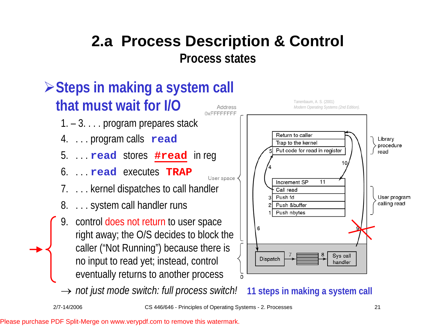

→ *not just mode switch: full process switch!* 11 steps in making a system call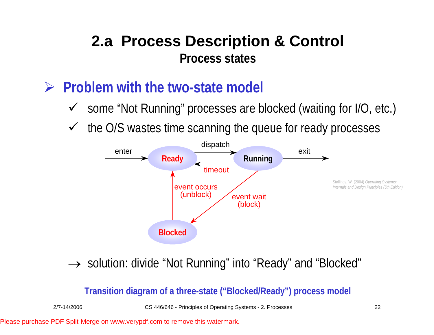- ¾ **Problem with the two-state model? model**
	- ◆ some "Not Running" processes are blocked (waiting for I/O, etc.)
	- $\checkmark$ the O/S wastes time scanning the queue for ready processes



→ solution: divide "Not Running" into "Ready" and "Blocked"

**Transition diagram of a three-state ("Blocked/Ready") process model**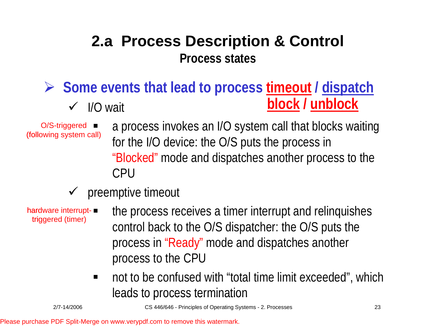**► Some events that lead to process timeout** / dispatch  $\checkmark$  I/O wait **block / unblock**

O/S-triggered **■** (foll owing system call)

- a process invokes an I/O system call that blocks waiting for the I/O device: the O/S puts the process in "Blocked" mode and dispatches another process to the CPU
- $\checkmark$  preemptive timeout

hardware interrupttriggered (timer)

- the process receives a timer interrupt and relinquishes control back to the O/S dispatcher: the O/S puts the process in "Ready" mode and dispatches another process to the CPU
- $\blacksquare$  not to be confused with "total time limit exceeded", which leads to process termination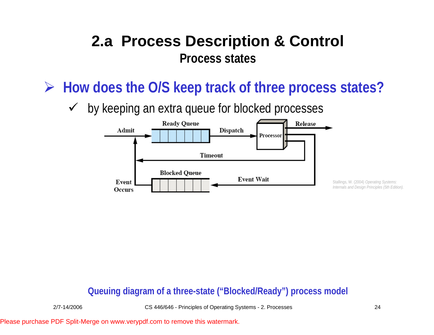¾ **How does the O/S keep track of three process states?**

 $\sqrt{ }$ by keeping an extra queue for blocked processes



**Queuing diagram of a three-state ("Blocked/Ready") process model**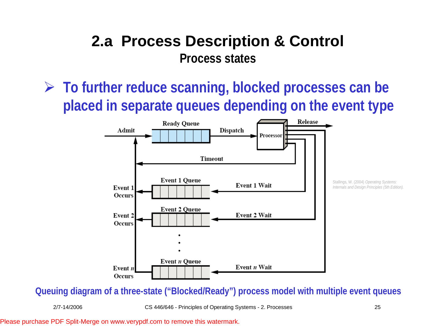**► To further reduce scanning, blocked processes can be placed in separate queues depending on the event type**



**Queuing diagram of a three-state ("Blocked/Ready") process model with multiple event queues**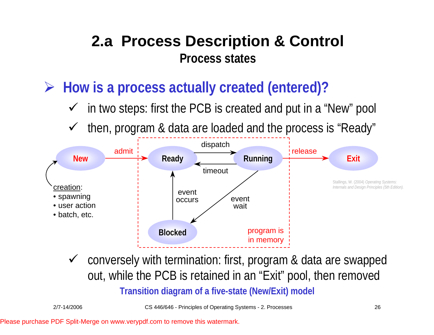¾ **How is a process actually created (entered)?**

- $\checkmark$ in two steps: first the PCB is created and put in a "New" pool
- $\checkmark$ then, program & data are loaded and the process is "Ready"



 $\checkmark$  conversely with termination: first, program & data are swapped out, while the PCB is retained in an "Exit" pool, then removed **Transition diagram of a five-state (New/Exit) model**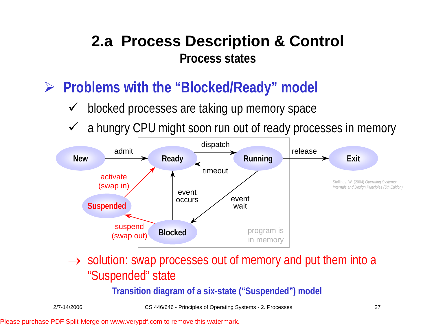- ¾ **Problems with the "Blocked/Ready" model? model**
	- $\checkmark$ blocked processes are taking up memory space
	- $\sqrt{ }$ a hungry CPU might soon run out of ready processes in memory



 $\rightarrow$  solution: swap processes out of memory and put them into a "Suspended" state

**Transition diagram of a six-state ("Suspended") model**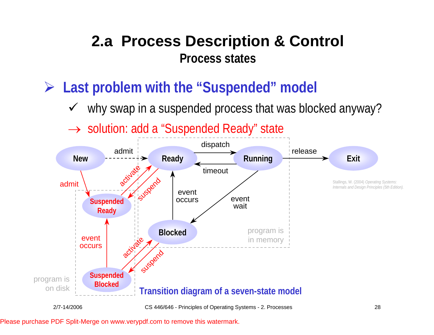- **► Last problem with the "Suspended" model** 
	- $\checkmark$ why swap in a suspended process that was blocked anyway?
	- → solution: add a "Suspended Ready" state

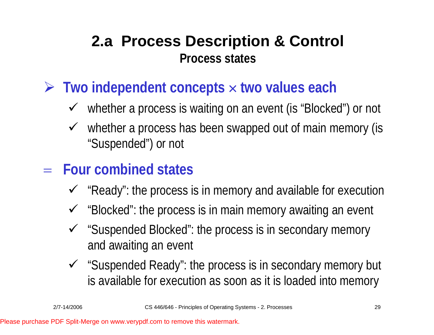- ¾ **Two independent concepts**  × **two values each**
	- $\checkmark$  whether a process is waiting on an event (is "Blocked") or not
	- $\checkmark$  whether a process has been swapped out of main memory (is "Suspended") or not
- = **Four combined states**
	- $\checkmark$  "Ready": the process is in memory and available for execution
	- $\checkmark$  "Blocked": the process is in main memory awaiting an event
	- 9 "Suspended Blocked": the process is in secondary memory and awaiting an event
	- $\checkmark$  "Suspended Ready": the process is in secondary memory but is available for execution as soon as it is loaded into memory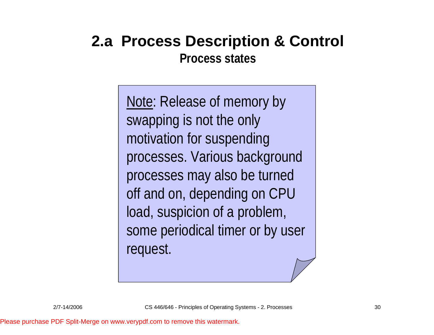# **2.a Process Description & Control**

**Process states**

Note: Release of memory by swapping is not the only motivation for suspending processes. Various background processes may also be turned off and on, depending on CPU load, suspicion of a problem, some periodical timer or by user request.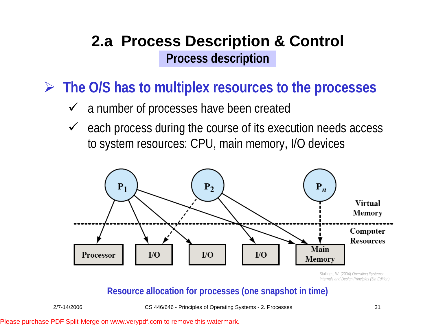¾ **The O/S has to multiplex resources to the processes**

- $\checkmark$  a number of processes have been created
- $\checkmark$  each process during the course of its execution needs access to system resources: CPU, main memory, I/O devices



Stallings, W. (2004) *Operating Systems: Internals and Design Principles (5th Edition).* 

#### **Resource allocation for processes (one snapshot in time)**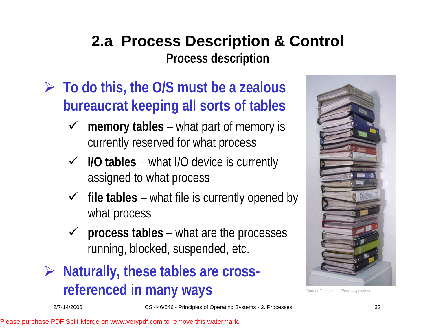- ¾ **To do this, the O/S must be a zealous bureaucrat keeping all sorts of tables** 
	- $\checkmark$  **memory tables** – what part of memory is currently reserved for what process
	- 9 **I/O tables** what I/O device is currently assigned to what process
	- $\checkmark$  file tables what file is currently opened by what process
	- $\checkmark$  **process tables** – what are the processes running, blocked, suspended, etc.
- ¾ **Naturally, these tables are crossreferenced in many ways**



Carmen Tomfohrde - *Three-ring binders*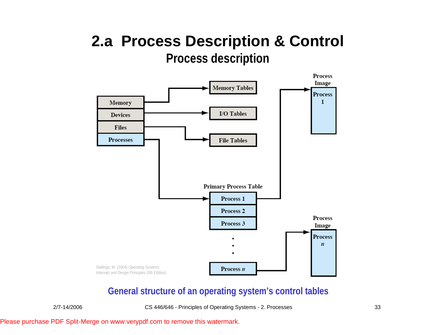

#### **General structure of an operating system's control tables**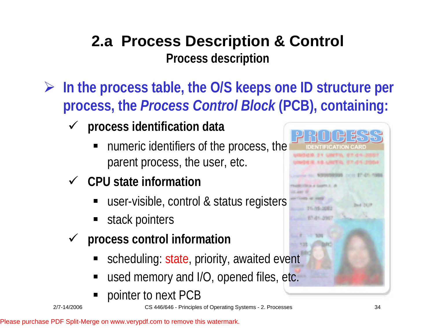- ¾ **In the process table, the O/S keeps one ID structure per process, the** *Process Control Block* **(PCB), containing:**
	- $\checkmark$  **process identification data**
		- numeric identifiers of the process, the parent process, the user, etc.
	- 9 **CPU state information**
		- user-visible, control & status registers
		- stack pointers
	- $\sqrt{ }$  **process control information**
		- scheduling: state, priority, awaited event
		- used memory and I/O, opened files, etc.
		- ٠ pointer to next PCB

 $14 - 32 = 25$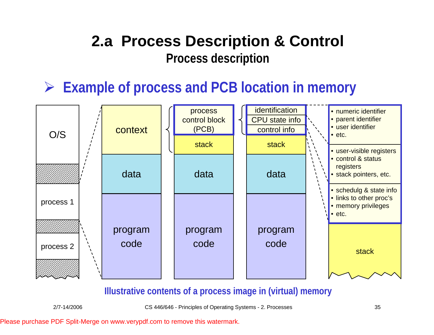¾ **Example of process and PCB location in memory**



#### **Illustrative contents of a process image in (virtual) memory**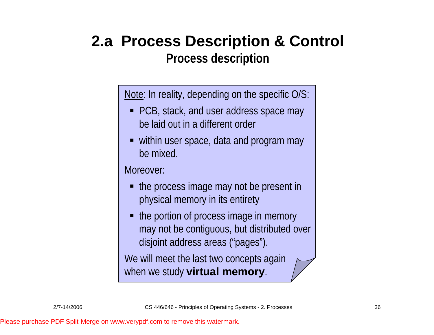Note: In reality, depending on the specific O/S:

- PCB, stack, and user address space may be laid out in a different order
- within user space, data and program may be mixed.

Moreover:

- the process image may not be present in physical memory in its entirety
- the portion of process image in memory may not be contiguous, but distributed over disjoint address areas ("pages").

We will meet the last two concepts again when we study **virtual memory**.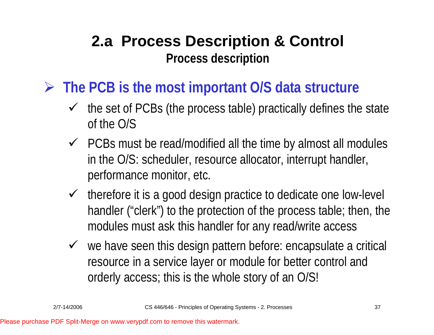- ¾ **The PCB is the most important O/S data structure**
	- $\checkmark$  the set of PCBs (the process table) practically defines the state of the O/S
	- $\checkmark$  PCBs must be read/modified all the time by almost all modules in the O/S: scheduler, resource allocator, interrupt handler, performance monitor, etc.
	- $\checkmark$  therefore it is a good design practice to dedicate one low-level handler ("clerk") to the protection of the process table; then, the modules must ask this handler for any read/write access
	- $\checkmark$  we have seen this design pattern before: encapsulate a critical resource in a service layer or module for better control and orderly access; this is the whole story of an O/S!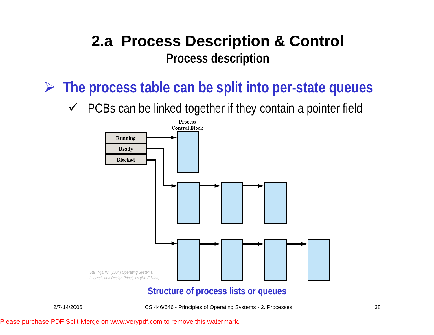¾ **The process table can be split into per-state queues**

 $\checkmark$  PCBs can be linked together if they contain a pointer field

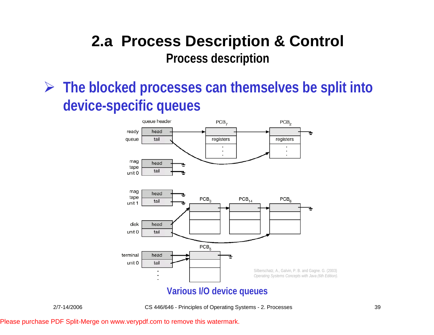¾ **The blocked processes can themselves be split into device-specific queues**

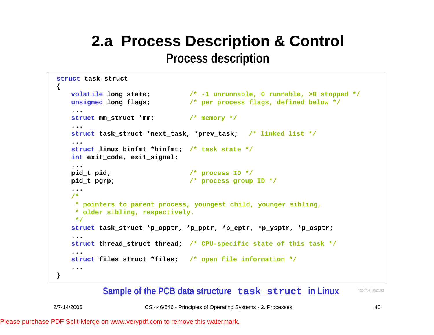```
struct task_struct
{
   volatile long state; /* -1 unrunnable, 0 runnable, >0 stopped */
   unsigned long flags; /* per process flags, defined below */
   ...struct mm_struct *mm; /* memory */
   ...struct task_struct *next_task, *prev_task; /* linked list */
   ...struct linux_binfmt *binfmt; /* task state */
   int exit_code, exit_signal;
   ...pid_t pid; /* process ID */
   pid_t pgrp; /* process group ID */
   .../* 
    * pointers to parent process, youngest child, younger sibling,
    * older sibling, respectively.
    */
   struct task_struct *p_opptr, *p_pptr, *p_cptr, *p_ysptr, *p_osptr;
   ...struct thread_struct thread; /* CPU-specific state of this task */
   ...struct files_struct *files; /* open file information */
   ...
}
```
#### **Sample of the PCB data structure task\_struct in Linux**

http://lxr.linux. no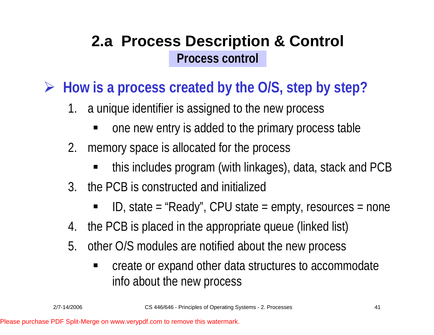¾ **How is a process created by the O/S, step by step?**

- 1. a unique identifier is assigned to the new process
	- ٠ one new entry is added to the primary process table
- 2. memory space is allocated for the process
	- ٠ this includes program (with linkages), data, stack and PCB
- 3. the PCB is constructed and initialized
	- ٠ ID, state = "Ready", CPU state = empty, resources = none
- 4.the PCB is placed in the appropriate queue (linked list)
- 5. other O/S modules are notified about the new process
	- create or expand other data structures to accommodate info about the new process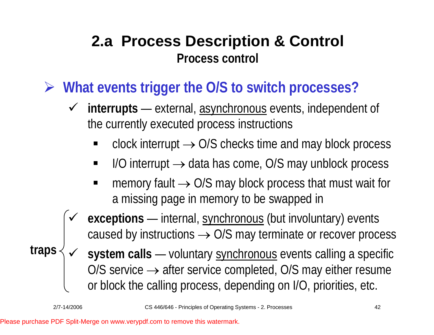¾ **What events trigger the O/S to switch processes?**

- 9 **interrupts** — external, asynchronous events, independent of the currently executed process instructions
	- $\blacksquare$  clock interrupt  $\rightarrow$  O/S checks time and may block process
	- $\blacksquare$  I/O interrupt  $\rightarrow$  data has come, O/S may unblock process
	- **n** memory fault  $\rightarrow$  O/S may block process that must wait for a missing page in memory to be swapped in
- $\checkmark$  **exceptions** —— internal, synchronous (but involuntary) events caused by instructions  $\rightarrow$  O/S may terminate or recover process
- $\checkmark$  **system calls** ———— — voluntary <u>synchronous</u> events calling a specific O/S service  $\rightarrow$  after service completed, O/S may either resume or block the calling process, depending on I/O, priorities, etc. **traps**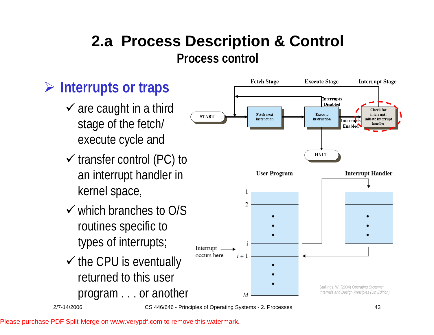## ¾ **Interrupts or traps**

- $\checkmark$  are caught in a third stage of the fetch/ execute cycle and
- $\checkmark$  transfer control (PC) to an interrupt handler in kernel space,
- $\checkmark$  which branches to O/S routines specific to types of interrupts;
- $\checkmark$  the CPU is eventually returned to this user

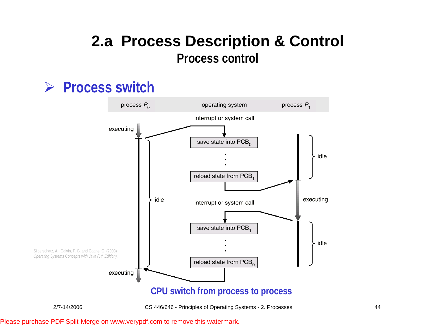#### ¾ **Process switch**

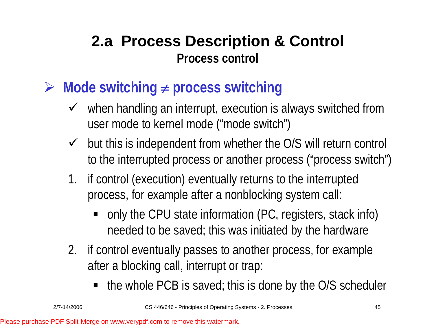- ¾ **Mode switching**  ≠ **process switching**
	- $\checkmark$  when handling an interrupt, execution is always switched from user mode to kernel mode ("mode switch")
	- $\sqrt{ }$  but this is independent from whether the O/S will return control to the interrupted process or another process ("process switch")
	- 1. if control (execution) eventually returns to the interrupted process, for example after a nonblocking system call:
		- only the CPU state information (PC, registers, stack info) needed to be saved; this was initiated by the hardware
	- 2. if control eventually passes to another process, for example after a blocking call, interrupt or trap:
		- the whole PCB is saved; this is done by the O/S scheduler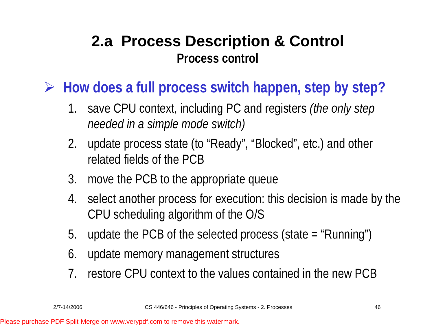¾ **How does a full process switch happen, step by step?**

- 1. save CPU context, including PC and registers *(the only step needed in a simple mode switch)*
- 2. update process state (to "Ready", "Blocked", etc.) and other related fields of the PCB
- 3. move the PCB to the appropriate queue
- 4. select another process for execution: this decision is made by the CPU scheduling algorithm of the O/S
- 5.update the PCB of the selected process (state = "Running")
- 6.update memory management structures
- 7.restore CPU context to the values contained in the new PCB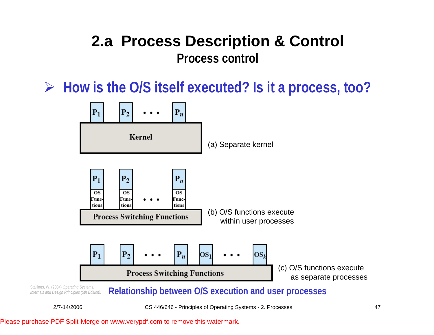¾ **How is the O/S itself executed? Is it a process, too?**



*Internals and Design Principles (5th Edition).* 

Stallings, W. (2004) *Operating Systems:*<br>Internals and Design Principles (5th Edition). Relationship between O/S execution and user processes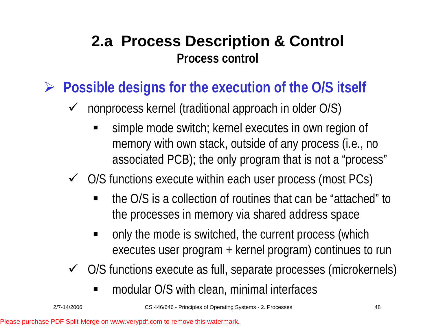- ¾ **Possible designs for the execution of the O/S itself**
	- $\sqrt{ }$  nonprocess kernel (traditional approach in older O/S)
		- ٠ simple mode switch; kernel executes in own region of memory with own stack, outside of any process (i.e., no associated PCB); the only program that is not a "process"
	- $\checkmark$  O/S functions execute within each user process (most PCs)
		- the O/S is a collection of routines that can be "attached" to the processes in memory via shared address space
		- ٠ only the mode is switched, the current process (which executes user program + kernel program) continues to run
	- $\checkmark$  O/S functions execute as full, separate processes (microkernels)
		- modular O/S with clean, minimal interfaces